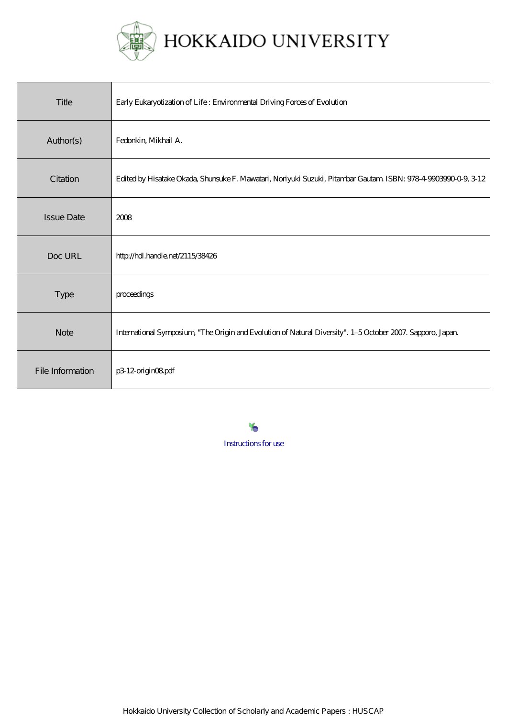

| Title             | Early Eukaryotization of Life: Environmental Driving Forces of Evolution                                       |
|-------------------|----------------------------------------------------------------------------------------------------------------|
| Author(s)         | Fedorkin, Mikhail A.                                                                                           |
| Citation          | Edited by Hisatake Okada, Shunsuke F. Mawatari, Noriyuki Suzuki, Pitambar Gautam ISBN: 978-4-9903990-0-9, 3-12 |
| <b>Issue Date</b> | 2008                                                                                                           |
| Doc URL           | http://hdl.handle.net/2115/38426                                                                               |
| <b>Type</b>       | proceedings                                                                                                    |
| <b>Note</b>       | International Symposium, "The Origin and Evolution of Natural Diversity". 1-5 October 2007. Sapporo, Japan     |
| File Information  | p3 12-origin08pdf                                                                                              |

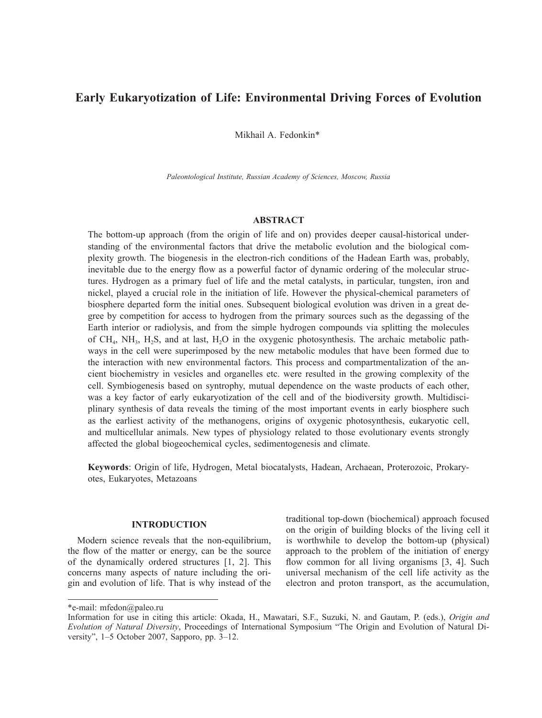# **Early Eukaryotization of Life: Environmental Driving Forces of Evolution**

Mikhail A. Fedonkin\*

*Paleontological Institute, Russian Academy of Sciences, Moscow, Russia*

### **ABSTRACT**

The bottom-up approach (from the origin of life and on) provides deeper causal-historical understanding of the environmental factors that drive the metabolic evolution and the biological complexity growth. The biogenesis in the electron-rich conditions of the Hadean Earth was, probably, inevitable due to the energy flow as a powerful factor of dynamic ordering of the molecular structures. Hydrogen as a primary fuel of life and the metal catalysts, in particular, tungsten, iron and nickel, played a crucial role in the initiation of life. However the physical-chemical parameters of biosphere departed form the initial ones. Subsequent biological evolution was driven in a great degree by competition for access to hydrogen from the primary sources such as the degassing of the Earth interior or radiolysis, and from the simple hydrogen compounds via splitting the molecules of  $CH_4$ , NH<sub>3</sub>, H<sub>2</sub>S, and at last, H<sub>2</sub>O in the oxygenic photosynthesis. The archaic metabolic pathways in the cell were superimposed by the new metabolic modules that have been formed due to the interaction with new environmental factors. This process and compartmentalization of the ancient biochemistry in vesicles and organelles etc. were resulted in the growing complexity of the cell. Symbiogenesis based on syntrophy, mutual dependence on the waste products of each other, was a key factor of early eukaryotization of the cell and of the biodiversity growth. Multidisciplinary synthesis of data reveals the timing of the most important events in early biosphere such as the earliest activity of the methanogens, origins of oxygenic photosynthesis, eukaryotic cell, and multicellular animals. New types of physiology related to those evolutionary events strongly affected the global biogeochemical cycles, sedimentogenesis and climate.

**Keywords**: Origin of life, Hydrogen, Metal biocatalysts, Hadean, Archaean, Proterozoic, Prokaryotes, Eukaryotes, Metazoans

# **INTRODUCTION**

Modern science reveals that the non-equilibrium, the flow of the matter or energy, can be the source of the dynamically ordered structures [1, 2]. This concerns many aspects of nature including the origin and evolution of life. That is why instead of the traditional top-down (biochemical) approach focused on the origin of building blocks of the living cell it is worthwhile to develop the bottom-up (physical) approach to the problem of the initiation of energy flow common for all living organisms [3, 4]. Such universal mechanism of the cell life activity as the electron and proton transport, as the accumulation,

<sup>\*</sup>e-mail: mfedon@paleo.ru

Information for use in citing this article: Okada, H., Mawatari, S.F., Suzuki, N. and Gautam, P. (eds.), *Origin and Evolution of Natural Diversity*, Proceedings of International Symposium "The Origin and Evolution of Natural Diversity", 1–5 October 2007, Sapporo, pp. 3–12.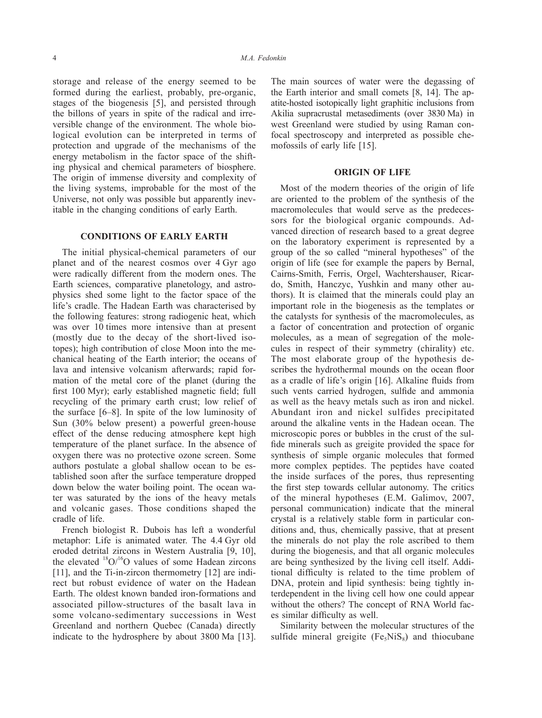storage and release of the energy seemed to be formed during the earliest, probably, pre-organic, stages of the biogenesis [5], and persisted through the billons of years in spite of the radical and irreversible change of the environment. The whole biological evolution can be interpreted in terms of protection and upgrade of the mechanisms of the energy metabolism in the factor space of the shifting physical and chemical parameters of biosphere. The origin of immense diversity and complexity of the living systems, improbable for the most of the Universe, not only was possible but apparently inevitable in the changing conditions of early Earth.

### **CONDITIONS OF EARLY EARTH**

The initial physical-chemical parameters of our planet and of the nearest cosmos over 4 Gyr ago were radically different from the modern ones. The Earth sciences, comparative planetology, and astrophysics shed some light to the factor space of the life's cradle. The Hadean Earth was characterised by the following features: strong radiogenic heat, which was over 10 times more intensive than at present (mostly due to the decay of the short-lived isotopes); high contribution of close Moon into the mechanical heating of the Earth interior; the oceans of lava and intensive volcanism afterwards; rapid formation of the metal core of the planet (during the first 100 Myr); early established magnetic field; full recycling of the primary earth crust; low relief of the surface [6–8]. In spite of the low luminosity of Sun (30% below present) a powerful green-house effect of the dense reducing atmosphere kept high temperature of the planet surface. In the absence of oxygen there was no protective ozone screen. Some authors postulate a global shallow ocean to be established soon after the surface temperature dropped down below the water boiling point. The ocean water was saturated by the ions of the heavy metals and volcanic gases. Those conditions shaped the cradle of life.

French biologist R. Dubois has left a wonderful metaphor: Life is animated water. The 4.4 Gyr old eroded detrital zircons in Western Australia [9, 10], the elevated  ${}^{18}O/{}^{16}O$  values of some Hadean zircons [11], and the Ti-in-zircon thermometry [12] are indirect but robust evidence of water on the Hadean Earth. The oldest known banded iron-formations and associated pillow-structures of the basalt lava in some volcano-sedimentary successions in West Greenland and northern Quebec (Canada) directly indicate to the hydrosphere by about 3800 Ma [13]. The main sources of water were the degassing of the Earth interior and small comets [8, 14]. The apatite-hosted isotopically light graphitic inclusions from Akilia supracrustal metasediments (over 3830 Ma) in west Greenland were studied by using Raman confocal spectroscopy and interpreted as possible chemofossils of early life [15].

#### **ORIGIN OF LIFE**

Most of the modern theories of the origin of life are oriented to the problem of the synthesis of the macromolecules that would serve as the predecessors for the biological organic compounds. Advanced direction of research based to a great degree on the laboratory experiment is represented by a group of the so called "mineral hypotheses" of the origin of life (see for example the papers by Bernal, Cairns-Smith, Ferris, Orgel, Wachtershauser, Ricardo, Smith, Hanczyc, Yushkin and many other authors). It is claimed that the minerals could play an important role in the biogenesis as the templates or the catalysts for synthesis of the macromolecules, as a factor of concentration and protection of organic molecules, as a mean of segregation of the molecules in respect of their symmetry (chirality) etc. The most elaborate group of the hypothesis describes the hydrothermal mounds on the ocean floor as a cradle of life's origin [16]. Alkaline fluids from such vents carried hydrogen, sulfide and ammonia as well as the heavy metals such as iron and nickel. Abundant iron and nickel sulfides precipitated around the alkaline vents in the Hadean ocean. The microscopic pores or bubbles in the crust of the sulfide minerals such as greigite provided the space for synthesis of simple organic molecules that formed more complex peptides. The peptides have coated the inside surfaces of the pores, thus representing the first step towards cellular autonomy. The critics of the mineral hypotheses (E.M. Galimov, 2007, personal communication) indicate that the mineral crystal is a relatively stable form in particular conditions and, thus, chemically passive, that at present the minerals do not play the role ascribed to them during the biogenesis, and that all organic molecules are being synthesized by the living cell itself. Additional difficulty is related to the time problem of DNA, protein and lipid synthesis: being tightly interdependent in the living cell how one could appear without the others? The concept of RNA World faces similar difficulty as well.

Similarity between the molecular structures of the sulfide mineral greigite ( $Fe<sub>5</sub>NiS<sub>8</sub>$ ) and thiocubane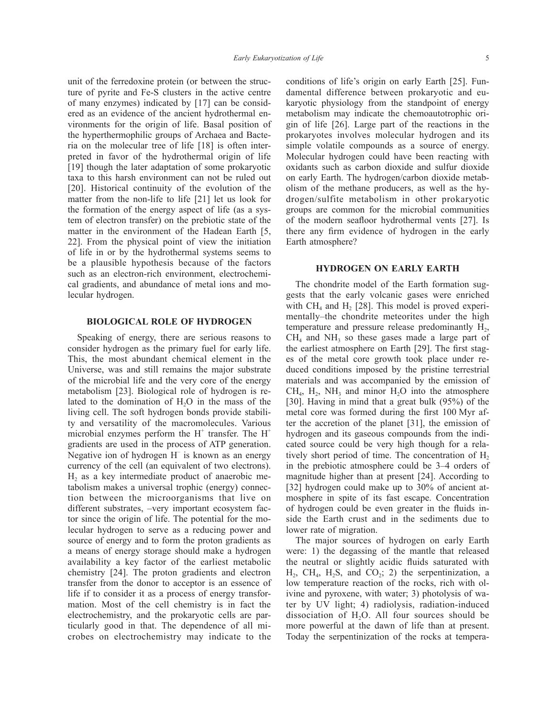unit of the ferredoxine protein (or between the structure of pyrite and Fe-S clusters in the active centre of many enzymes) indicated by [17] can be considered as an evidence of the ancient hydrothermal environments for the origin of life. Basal position of the hyperthermophilic groups of Archaea and Bacteria on the molecular tree of life [18] is often interpreted in favor of the hydrothermal origin of life [19] though the later adaptation of some prokaryotic taxa to this harsh environment can not be ruled out [20]. Historical continuity of the evolution of the matter from the non-life to life [21] let us look for the formation of the energy aspect of life (as a system of electron transfer) on the prebiotic state of the matter in the environment of the Hadean Earth [5, 22]. From the physical point of view the initiation of life in or by the hydrothermal systems seems to be a plausible hypothesis because of the factors such as an electron-rich environment, electrochemical gradients, and abundance of metal ions and molecular hydrogen.

### **BIOLOGICAL ROLE OF HYDROGEN**

Speaking of energy, there are serious reasons to consider hydrogen as the primary fuel for early life. This, the most abundant chemical element in the Universe, was and still remains the major substrate of the microbial life and the very core of the energy metabolism [23]. Biological role of hydrogen is related to the domination of  $H<sub>2</sub>O$  in the mass of the living cell. The soft hydrogen bonds provide stability and versatility of the macromolecules. Various microbial enzymes perform the  $H^+$  transfer. The  $H^+$ gradients are used in the process of ATP generation. Negative ion of hydrogen H– is known as an energy currency of the cell (an equivalent of two electrons).  $H<sub>2</sub>$  as a key intermediate product of anaerobic metabolism makes a universal trophic (energy) connection between the microorganisms that live on different substrates, –very important ecosystem factor since the origin of life. The potential for the molecular hydrogen to serve as a reducing power and source of energy and to form the proton gradients as a means of energy storage should make a hydrogen availability a key factor of the earliest metabolic chemistry [24]. The proton gradients and electron transfer from the donor to acceptor is an essence of life if to consider it as a process of energy transformation. Most of the cell chemistry is in fact the electrochemistry, and the prokaryotic cells are particularly good in that. The dependence of all microbes on electrochemistry may indicate to the

conditions of life's origin on early Earth [25]. Fundamental difference between prokaryotic and eukaryotic physiology from the standpoint of energy metabolism may indicate the chemoautotrophic origin of life [26]. Large part of the reactions in the prokaryotes involves molecular hydrogen and its simple volatile compounds as a source of energy. Molecular hydrogen could have been reacting with oxidants such as carbon dioxide and sulfur dioxide on early Earth. The hydrogen/carbon dioxide metabolism of the methane producers, as well as the hydrogen/sulfite metabolism in other prokaryotic groups are common for the microbial communities of the modern seafloor hydrothermal vents [27]. Is there any firm evidence of hydrogen in the early Earth atmosphere?

### **HYDROGEN ON EARLY EARTH**

The chondrite model of the Earth formation suggests that the early volcanic gases were enriched with  $CH<sub>4</sub>$  and H<sub>2</sub> [28]. This model is proved experimentally–the chondrite meteorites under the high temperature and pressure release predominantly  $H<sub>2</sub>$ ,  $CH<sub>4</sub>$  and  $NH<sub>3</sub>$  so these gases made a large part of the earliest atmosphere on Earth [29]. The first stages of the metal core growth took place under reduced conditions imposed by the pristine terrestrial materials and was accompanied by the emission of  $CH<sub>4</sub>$ ,  $H<sub>2</sub>$ ,  $NH<sub>3</sub>$  and minor  $H<sub>2</sub>O$  into the atmosphere [30]. Having in mind that a great bulk (95%) of the metal core was formed during the first 100 Myr after the accretion of the planet [31], the emission of hydrogen and its gaseous compounds from the indicated source could be very high though for a relatively short period of time. The concentration of  $H<sub>2</sub>$ in the prebiotic atmosphere could be 3–4 orders of magnitude higher than at present [24]. According to [32] hydrogen could make up to 30% of ancient atmosphere in spite of its fast escape. Concentration of hydrogen could be even greater in the fluids inside the Earth crust and in the sediments due to lower rate of migration.

The major sources of hydrogen on early Earth were: 1) the degassing of the mantle that released the neutral or slightly acidic fluids saturated with  $H_2$ , CH<sub>4</sub>, H<sub>2</sub>S, and CO<sub>2</sub>; 2) the serpentinization, a low temperature reaction of the rocks, rich with olivine and pyroxene, with water; 3) photolysis of water by UV light; 4) radiolysis, radiation-induced dissociation of  $H<sub>2</sub>O$ . All four sources should be more powerful at the dawn of life than at present. Today the serpentinization of the rocks at tempera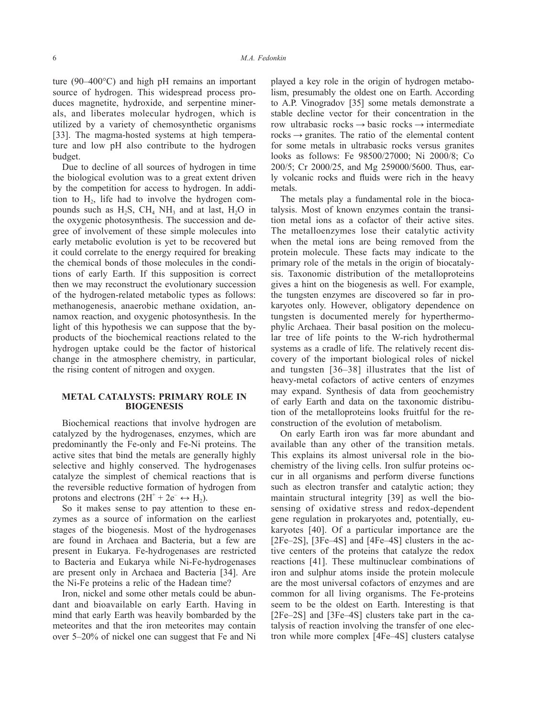ture (90–400°C) and high pH remains an important source of hydrogen. This widespread process produces magnetite, hydroxide, and serpentine minerals, and liberates molecular hydrogen, which is utilized by a variety of chemosynthetic organisms [33]. The magma-hosted systems at high temperature and low pH also contribute to the hydrogen budget.

Due to decline of all sources of hydrogen in time the biological evolution was to a great extent driven by the competition for access to hydrogen. In addition to  $H_2$ , life had to involve the hydrogen compounds such as  $H_2S$ ,  $CH_4NH_3$  and at last,  $H_2O$  in the oxygenic photosynthesis. The succession and degree of involvement of these simple molecules into early metabolic evolution is yet to be recovered but it could correlate to the energy required for breaking the chemical bonds of those molecules in the conditions of early Earth. If this supposition is correct then we may reconstruct the evolutionary succession of the hydrogen-related metabolic types as follows: methanogenesis, anaerobic methane oxidation, annamox reaction, and oxygenic photosynthesis. In the light of this hypothesis we can suppose that the byproducts of the biochemical reactions related to the hydrogen uptake could be the factor of historical change in the atmosphere chemistry, in particular, the rising content of nitrogen and oxygen.

# **METAL CATALYSTS: PRIMARY ROLE IN BIOGENESIS**

Biochemical reactions that involve hydrogen are catalyzed by the hydrogenases, enzymes, which are predominantly the Fe-only and Fe-Ni proteins. The active sites that bind the metals are generally highly selective and highly conserved. The hydrogenases catalyze the simplest of chemical reactions that is the reversible reductive formation of hydrogen from protons and electrons  $(2H^+ + 2e^- \leftrightarrow H_2)$ .

So it makes sense to pay attention to these enzymes as a source of information on the earliest stages of the biogenesis. Most of the hydrogenases are found in Archaea and Bacteria, but a few are present in Eukarya. Fe-hydrogenases are restricted to Bacteria and Eukarya while Ni-Fe-hydrogenases are present only in Archaea and Bacteria [34]. Are the Ni-Fe proteins a relic of the Hadean time?

Iron, nickel and some other metals could be abundant and bioavailable on early Earth. Having in mind that early Earth was heavily bombarded by the meteorites and that the iron meteorites may contain over 5–20% of nickel one can suggest that Fe and Ni played a key role in the origin of hydrogen metabolism, presumably the oldest one on Earth. According to A.P. Vinogradov [35] some metals demonstrate a stable decline vector for their concentration in the row ultrabasic rocks  $\rightarrow$  basic rocks  $\rightarrow$  intermediate rocks  $\rightarrow$  granites. The ratio of the elemental content for some metals in ultrabasic rocks versus granites looks as follows: Fe 98500/27000; Ni 2000/8; Co 200/5; Cr 2000/25, and Mg 259000/5600. Thus, early volcanic rocks and fluids were rich in the heavy metals.

The metals play a fundamental role in the biocatalysis. Most of known enzymes contain the transition metal ions as a cofactor of their active sites. The metalloenzymes lose their catalytic activity when the metal ions are being removed from the protein molecule. These facts may indicate to the primary role of the metals in the origin of biocatalysis. Taxonomic distribution of the metalloproteins gives a hint on the biogenesis as well. For example, the tungsten enzymes are discovered so far in prokaryotes only. However, obligatory dependence on tungsten is documented merely for hyperthermophylic Archaea. Their basal position on the molecular tree of life points to the W-rich hydrothermal systems as a cradle of life. The relatively recent discovery of the important biological roles of nickel and tungsten [36–38] illustrates that the list of heavy-metal cofactors of active centers of enzymes may expand. Synthesis of data from geochemistry of early Earth and data on the taxonomic distribution of the metalloproteins looks fruitful for the reconstruction of the evolution of metabolism.

On early Earth iron was far more abundant and available than any other of the transition metals. This explains its almost universal role in the biochemistry of the living cells. Iron sulfur proteins occur in all organisms and perform diverse functions such as electron transfer and catalytic action; they maintain structural integrity [39] as well the biosensing of oxidative stress and redox-dependent gene regulation in prokaryotes and, potentially, eukaryotes [40]. Of a particular importance are the [2Fe–2S], [3Fe–4S] and [4Fe–4S] clusters in the active centers of the proteins that catalyze the redox reactions [41]. These multinuclear combinations of iron and sulphur atoms inside the protein molecule are the most universal cofactors of enzymes and are common for all living organisms. The Fe-proteins seem to be the oldest on Earth. Interesting is that [2Fe–2S] and [3Fe–4S] clusters take part in the catalysis of reaction involving the transfer of one electron while more complex [4Fe–4S] clusters catalyse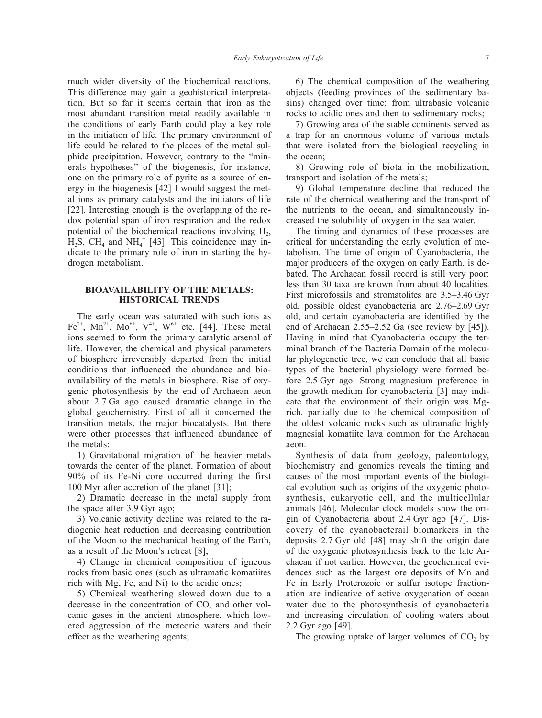much wider diversity of the biochemical reactions. This difference may gain a geohistorical interpretation. But so far it seems certain that iron as the most abundant transition metal readily available in the conditions of early Earth could play a key role in the initiation of life. The primary environment of life could be related to the places of the metal sulphide precipitation. However, contrary to the "minerals hypotheses" of the biogenesis, for instance, one on the primary role of pyrite as a source of energy in the biogenesis [42] I would suggest the metal ions as primary catalysts and the initiators of life [22]. Interesting enough is the overlapping of the redox potential span of iron respiration and the redox potential of the biochemical reactions involving  $H<sub>2</sub>$ ,  $H_2S$ , CH<sub>4</sub> and NH<sub>4</sub><sup>+</sup> [43]. This coincidence may indicate to the primary role of iron in starting the hydrogen metabolism.

### **BIOAVAILABILITY OF THE METALS: HISTORICAL TRENDS**

The early ocean was saturated with such ions as Fe<sup>2+</sup>, Mn<sup>2+</sup>, Mo<sup>6+</sup>, V<sup>4+</sup>, W<sup>6+</sup> etc. [44]. These metal ions seemed to form the primary catalytic arsenal of life. However, the chemical and physical parameters of biosphere irreversibly departed from the initial conditions that influenced the abundance and bioavailability of the metals in biosphere. Rise of oxygenic photosynthesis by the end of Archaean aeon about 2.7 Ga ago caused dramatic change in the global geochemistry. First of all it concerned the transition metals, the major biocatalysts. But there were other processes that influenced abundance of the metals:

1) Gravitational migration of the heavier metals towards the center of the planet. Formation of about 90% of its Fe-Ni core occurred during the first 100 Myr after accretion of the planet [31];

2) Dramatic decrease in the metal supply from the space after 3.9 Gyr ago;

3) Volcanic activity decline was related to the radiogenic heat reduction and decreasing contribution of the Moon to the mechanical heating of the Earth, as a result of the Moon's retreat [8];

4) Change in chemical composition of igneous rocks from basic ones (such as ultramafic komatiites rich with Mg, Fe, and Ni) to the acidic ones;

5) Chemical weathering slowed down due to a decrease in the concentration of  $CO<sub>2</sub>$  and other volcanic gases in the ancient atmosphere, which lowered aggression of the meteoric waters and their effect as the weathering agents;

6) The chemical composition of the weathering objects (feeding provinces of the sedimentary basins) changed over time: from ultrabasic volcanic rocks to acidic ones and then to sedimentary rocks;

7) Growing area of the stable continents served as a trap for an enormous volume of various metals that were isolated from the biological recycling in the ocean;

8) Growing role of biota in the mobilization, transport and isolation of the metals;

9) Global temperature decline that reduced the rate of the chemical weathering and the transport of the nutrients to the ocean, and simultaneously increased the solubility of oxygen in the sea water.

The timing and dynamics of these processes are critical for understanding the early evolution of metabolism. The time of origin of Cyanobacteria, the major producers of the oxygen on early Earth, is debated. The Archaean fossil record is still very poor: less than 30 taxa are known from about 40 localities. First microfossils and stromatolites are 3.5–3.46 Gyr old, possible oldest cyanobacteria are 2.76–2.69 Gyr old, and certain cyanobacteria are identified by the end of Archaean 2.55–2.52 Ga (see review by [45]). Having in mind that Cyanobacteria occupy the terminal branch of the Bacteria Domain of the molecular phylogenetic tree, we can conclude that all basic types of the bacterial physiology were formed before 2.5 Gyr ago. Strong magnesium preference in the growth medium for cyanobacteria [3] may indicate that the environment of their origin was Mgrich, partially due to the chemical composition of the oldest volcanic rocks such as ultramafic highly magnesial komatiite lava common for the Archaean aeon.

Synthesis of data from geology, paleontology, biochemistry and genomics reveals the timing and causes of the most important events of the biological evolution such as origins of the oxygenic photosynthesis, eukaryotic cell, and the multicellular animals [46]. Molecular clock models show the origin of Cyanobacteria about 2.4 Gyr ago [47]. Discovery of the cyanobacterail biomarkers in the deposits 2.7 Gyr old [48] may shift the origin date of the oxygenic photosynthesis back to the late Archaean if not earlier. However, the geochemical evidences such as the largest ore deposits of Mn and Fe in Early Proterozoic or sulfur isotope fractionation are indicative of active oxygenation of ocean water due to the photosynthesis of cyanobacteria and increasing circulation of cooling waters about 2.2 Gyr ago [49].

The growing uptake of larger volumes of  $CO<sub>2</sub>$  by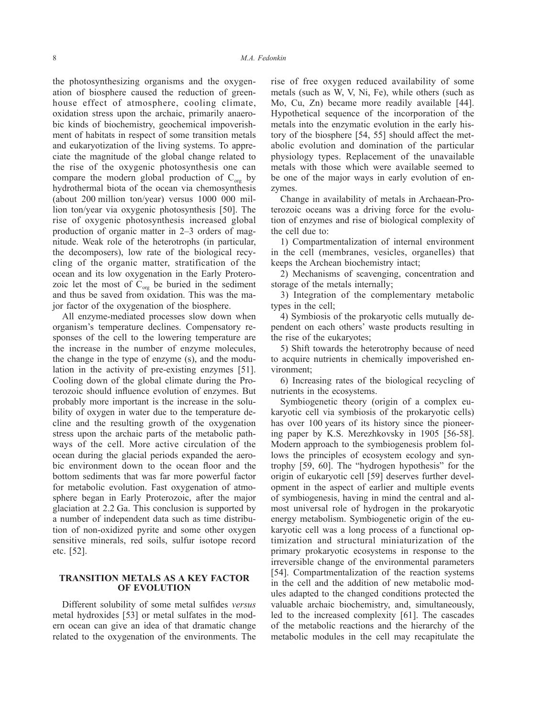the photosynthesizing organisms and the oxygenation of biosphere caused the reduction of greenhouse effect of atmosphere, cooling climate, oxidation stress upon the archaic, primarily anaerobic kinds of biochemistry, geochemical impoverishment of habitats in respect of some transition metals and eukaryotization of the living systems. To appreciate the magnitude of the global change related to the rise of the oxygenic photosynthesis one can compare the modern global production of  $C_{\text{org}}$  by hydrothermal biota of the ocean via chemosynthesis (about 200 million ton/year) versus 1000 000 million ton/year via oxygenic photosynthesis [50]. The rise of oxygenic photosynthesis increased global production of organic matter in 2–3 orders of magnitude. Weak role of the heterotrophs (in particular, the decomposers), low rate of the biological recycling of the organic matter, stratification of the ocean and its low oxygenation in the Early Proterozoic let the most of  $C_{org}$  be buried in the sediment and thus be saved from oxidation. This was the major factor of the oxygenation of the biosphere.

All enzyme-mediated processes slow down when organism's temperature declines. Compensatory responses of the cell to the lowering temperature are the increase in the number of enzyme molecules, the change in the type of enzyme (s), and the modulation in the activity of pre-existing enzymes [51]. Cooling down of the global climate during the Proterozoic should influence evolution of enzymes. But probably more important is the increase in the solubility of oxygen in water due to the temperature decline and the resulting growth of the oxygenation stress upon the archaic parts of the metabolic pathways of the cell. More active circulation of the ocean during the glacial periods expanded the aerobic environment down to the ocean floor and the bottom sediments that was far more powerful factor for metabolic evolution. Fast oxygenation of atmosphere began in Early Proterozoic, after the major glaciation at 2.2 Ga. This conclusion is supported by a number of independent data such as time distribution of non-oxidized pyrite and some other oxygen sensitive minerals, red soils, sulfur isotope record etc. [52].

# **TRANSITION METALS AS A KEY FACTOR OF EVOLUTION**

Different solubility of some metal sulfides *versus* metal hydroxides [53] or metal sulfates in the modern ocean can give an idea of that dramatic change related to the oxygenation of the environments. The

rise of free oxygen reduced availability of some metals (such as W, V, Ni, Fe), while others (such as Mo, Cu, Zn) became more readily available [44]. Hypothetical sequence of the incorporation of the metals into the enzymatic evolution in the early history of the biosphere [54, 55] should affect the metabolic evolution and domination of the particular physiology types. Replacement of the unavailable metals with those which were available seemed to be one of the major ways in early evolution of enzymes.

Change in availability of metals in Archaean-Proterozoic oceans was a driving force for the evolution of enzymes and rise of biological complexity of the cell due to:

1) Compartmentalization of internal environment in the cell (membranes, vesicles, organelles) that keeps the Archean biochemistry intact;

2) Mechanisms of scavenging, concentration and storage of the metals internally;

3) Integration of the complementary metabolic types in the cell;

4) Symbiosis of the prokaryotic cells mutually dependent on each others' waste products resulting in the rise of the eukaryotes;

5) Shift towards the heterotrophy because of need to acquire nutrients in chemically impoverished environment;

6) Increasing rates of the biological recycling of nutrients in the ecosystems.

Symbiogenetic theory (origin of a complex eukaryotic cell via symbiosis of the prokaryotic cells) has over 100 years of its history since the pioneering paper by K.S. Merezhkovsky in 1905 [56-58]. Modern approach to the symbiogenesis problem follows the principles of ecosystem ecology and syntrophy [59, 60]. The "hydrogen hypothesis" for the origin of eukaryotic cell [59] deserves further development in the aspect of earlier and multiple events of symbiogenesis, having in mind the central and almost universal role of hydrogen in the prokaryotic energy metabolism. Symbiogenetic origin of the eukaryotic cell was a long process of a functional optimization and structural miniaturization of the primary prokaryotic ecosystems in response to the irreversible change of the environmental parameters [54]. Compartmentalization of the reaction systems in the cell and the addition of new metabolic modules adapted to the changed conditions protected the valuable archaic biochemistry, and, simultaneously, led to the increased complexity [61]. The cascades of the metabolic reactions and the hierarchy of the metabolic modules in the cell may recapitulate the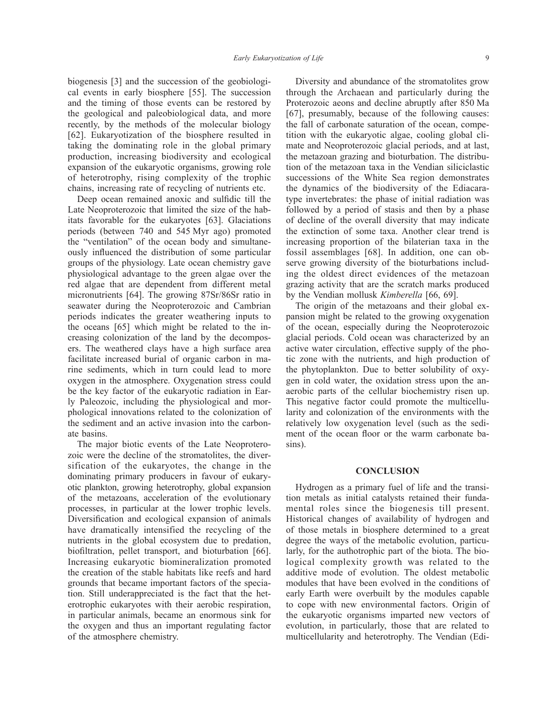biogenesis [3] and the succession of the geobiological events in early biosphere [55]. The succession and the timing of those events can be restored by the geological and paleobiological data, and more recently, by the methods of the molecular biology [62]. Eukaryotization of the biosphere resulted in taking the dominating role in the global primary production, increasing biodiversity and ecological expansion of the eukaryotic organisms, growing role of heterotrophy, rising complexity of the trophic chains, increasing rate of recycling of nutrients etc.

Deep ocean remained anoxic and sulfidic till the Late Neoproterozoic that limited the size of the habitats favorable for the eukaryotes [63]. Glaciations periods (between 740 and 545 Myr ago) promoted the "ventilation" of the ocean body and simultaneously influenced the distribution of some particular groups of the physiology. Late ocean chemistry gave physiological advantage to the green algae over the red algae that are dependent from different metal micronutrients [64]. The growing 87Sr/86Sr ratio in seawater during the Neoproterozoic and Cambrian periods indicates the greater weathering inputs to the oceans [65] which might be related to the increasing colonization of the land by the decomposers. The weathered clays have a high surface area facilitate increased burial of organic carbon in marine sediments, which in turn could lead to more oxygen in the atmosphere. Oxygenation stress could be the key factor of the eukaryotic radiation in Early Paleozoic, including the physiological and morphological innovations related to the colonization of the sediment and an active invasion into the carbonate basins.

The major biotic events of the Late Neoproterozoic were the decline of the stromatolites, the diversification of the eukaryotes, the change in the dominating primary producers in favour of eukaryotic plankton, growing heterotrophy, global expansion of the metazoans, acceleration of the evolutionary processes, in particular at the lower trophic levels. Diversification and ecological expansion of animals have dramatically intensified the recycling of the nutrients in the global ecosystem due to predation, biofiltration, pellet transport, and bioturbation [66]. Increasing eukaryotic biomineralization promoted the creation of the stable habitats like reefs and hard grounds that became important factors of the speciation. Still underappreciated is the fact that the heterotrophic eukaryotes with their aerobic respiration, in particular animals, became an enormous sink for the oxygen and thus an important regulating factor of the atmosphere chemistry.

Diversity and abundance of the stromatolites grow through the Archaean and particularly during the Proterozoic aeons and decline abruptly after 850 Ma [67], presumably, because of the following causes: the fall of carbonate saturation of the ocean, competition with the eukaryotic algae, cooling global climate and Neoproterozoic glacial periods, and at last, the metazoan grazing and bioturbation. The distribution of the metazoan taxa in the Vendian siliciclastic successions of the White Sea region demonstrates the dynamics of the biodiversity of the Ediacaratype invertebrates: the phase of initial radiation was followed by a period of stasis and then by a phase of decline of the overall diversity that may indicate the extinction of some taxa. Another clear trend is increasing proportion of the bilaterian taxa in the fossil assemblages [68]. In addition, one can observe growing diversity of the bioturbations including the oldest direct evidences of the metazoan grazing activity that are the scratch marks produced by the Vendian mollusk *Kimberella* [66, 69].

The origin of the metazoans and their global expansion might be related to the growing oxygenation of the ocean, especially during the Neoproterozoic glacial periods. Cold ocean was characterized by an active water circulation, effective supply of the photic zone with the nutrients, and high production of the phytoplankton. Due to better solubility of oxygen in cold water, the oxidation stress upon the anaerobic parts of the cellular biochemistry risen up. This negative factor could promote the multicellularity and colonization of the environments with the relatively low oxygenation level (such as the sediment of the ocean floor or the warm carbonate basins).

#### **CONCLUSION**

Hydrogen as a primary fuel of life and the transition metals as initial catalysts retained their fundamental roles since the biogenesis till present. Historical changes of availability of hydrogen and of those metals in biosphere determined to a great degree the ways of the metabolic evolution, particularly, for the authotrophic part of the biota. The biological complexity growth was related to the additive mode of evolution. The oldest metabolic modules that have been evolved in the conditions of early Earth were overbuilt by the modules capable to cope with new environmental factors. Origin of the eukaryotic organisms imparted new vectors of evolution, in particularly, those that are related to multicellularity and heterotrophy. The Vendian (Edi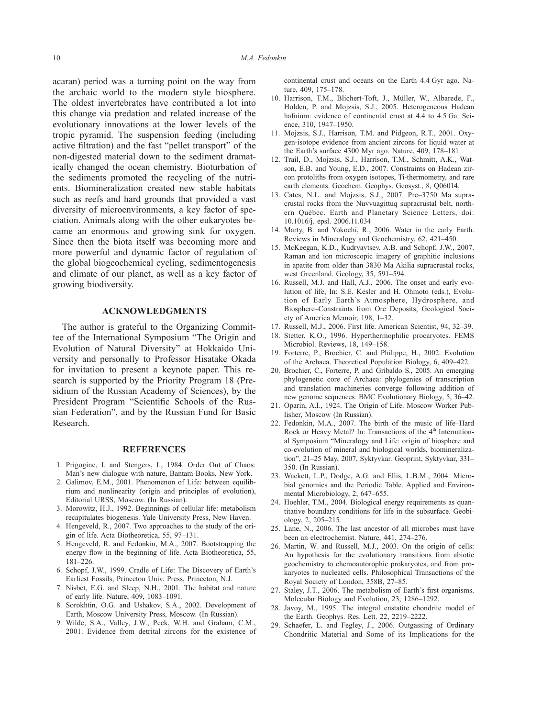acaran) period was a turning point on the way from the archaic world to the modern style biosphere. The oldest invertebrates have contributed a lot into this change via predation and related increase of the evolutionary innovations at the lower levels of the tropic pyramid. The suspension feeding (including active filtration) and the fast "pellet transport" of the non-digested material down to the sediment dramatically changed the ocean chemistry. Bioturbation of the sediments promoted the recycling of the nutrients. Biomineralization created new stable habitats such as reefs and hard grounds that provided a vast diversity of microenvironments, a key factor of speciation. Animals along with the other eukaryotes became an enormous and growing sink for oxygen. Since then the biota itself was becoming more and more powerful and dynamic factor of regulation of the global biogeochemical cycling, sedimentogenesis and climate of our planet, as well as a key factor of growing biodiversity.

#### **ACKNOWLEDGMENTS**

The author is grateful to the Organizing Committee of the International Symposium "The Origin and Evolution of Natural Diversity" at Hokkaido University and personally to Professor Hisatake Okada for invitation to present a keynote paper. This research is supported by the Priority Program 18 (Presidium of the Russian Academy of Sciences), by the President Program "Scientific Schools of the Russian Federation", and by the Russian Fund for Basic Research.

#### **REFERENCES**

- 1. Prigogine, I. and Stengers, I., 1984. Order Out of Chaos: Man's new dialogue with nature, Bantam Books, New York.
- 2. Galimov, E.M., 2001. Phenomenon of Life: between equilibrium and nonlinearity (origin and principles of evolution), Editorial URSS, Moscow. (In Russian).
- 3. Morowitz, H.J., 1992. Beginnings of cellular life: metabolism recapitulates biogenesis. Yale University Press, New Haven.
- 4. Hengeveld, R., 2007. Two approaches to the study of the origin of life. Acta Biotheoretica, 55, 97–131.
- 5. Hengeveld, R. and Fedonkin, M.A., 2007. Bootstrapping the energy flow in the beginning of life. Acta Biotheoretica, 55, 181–226.
- 6. Schopf, J.W., 1999. Cradle of Life: The Discovery of Earth's Earliest Fossils, Princeton Univ. Press, Princeton, N.J.
- 7. Nisbet, E.G. and Sleep, N.H., 2001. The habitat and nature of early life. Nature, 409, 1083–1091.
- 8. Sorokhtin, O.G. and Ushakov, S.A., 2002. Development of Earth, Moscow University Press, Moscow. (In Russian).
- 9. Wilde, S.A., Valley, J.W., Peck, W.H. and Graham, C.M., 2001. Evidence from detrital zircons for the existence of

continental crust and oceans on the Earth 4.4 Gyr ago. Nature, 409, 175–178.

- 10. Harrison, T.M., Blichert-Toft, J., Müller, W., Albarede, F., Holden, P. and Mojzsis, S.J., 2005. Heterogeneous Hadean hafnium: evidence of continental crust at 4.4 to 4.5 Ga. Science, 310, 1947–1950.
- 11. Mojzsis, S.J., Harrison, T.M. and Pidgeon, R.T., 2001. Oxygen-isotope evidence from ancient zircons for liquid water at the Earth's surface 4300 Myr ago. Nature, 409, 178–181.
- 12. Trail, D., Mojzsis, S.J., Harrison, T.M., Schmitt, A.K., Watson, E.B. and Young, E.D., 2007. Constraints on Hadean zircon protoliths from oxygen isotopes, Ti-thermometry, and rare earth elements. Geochem. Geophys. Geosyst., 8, Q06014.
- 13. Cates, N.L. and Mojzsis, S.J., 2007. Pre–3750 Ma supracrustal rocks from the Nuvvuagittuq supracrustal belt, northern Québec. Earth and Planetary Science Letters, doi: 10.1016/j. epsl. 2006.11.034
- 14. Marty, B. and Yokochi, R., 2006. Water in the early Earth. Reviews in Mineralogy and Geochemistry, 62, 421–450.
- 15. McKeegan, K.D., Kudryavtsev, A.B. and Schopf, J.W., 2007. Raman and ion microscopic imagery of graphitic inclusions in apatite from older than 3830 Ma Akilia supracrustal rocks, west Greenland. Geology, 35, 591–594.
- 16. Russell, M.J. and Hall, A.J., 2006. The onset and early evolution of life, In: S.E. Kesler and H. Ohmoto (eds.), Evolution of Early Earth's Atmosphere, Hydrosphere, and Biosphere–Constraints from Ore Deposits, Geological Society of America Memoir, 198, 1–32.
- 17. Russell, M.J., 2006. First life. American Scientist, 94, 32–39.
- 18. Stetter, K.O., 1996. Hyperthermophilic procaryotes. FEMS Microbiol. Reviews, 18, 149–158.
- 19. Forterre, P., Brochier, C. and Philippe, H., 2002. Evolution of the Archaea. Theoretical Population Biology, 6, 409–422.
- 20. Brochier, C., Forterre, P. and Gribaldo S., 2005. An emerging phylogenetic core of Archaea: phylogenies of transcription and translation machineries converge following addition of new genome sequences. BMC Evolutionary Biology, 5, 36–42.
- 21. Oparin, A.I., 1924. The Origin of Life. Moscow Worker Publisher, Moscow (In Russian).
- 22. Fedonkin, M.A., 2007. The birth of the music of life–Hard Rock or Heavy Metal? In: Transactions of the  $4<sup>th</sup>$  International Symposium "Mineralogy and Life: origin of biosphere and co-evolution of mineral and biological worlds, biomineralization", 21–25 May, 2007, Syktyvkar. Geoprint, Syktyvkar, 331– 350. (In Russian).
- 23. Wackett, L.P., Dodge, A.G. and Ellis, L.B.M., 2004. Microbial genomics and the Periodic Table. Applied and Environmental Microbiology, 2, 647–655.
- 24. Hoehler, T.M., 2004. Biological energy requirements as quantitative boundary conditions for life in the subsurface. Geobiology, 2, 205–215.
- 25. Lane, N., 2006. The last ancestor of all microbes must have been an electrochemist. Nature, 441, 274–276.
- 26. Martin, W. and Russell, M.J., 2003. On the origin of cells: An hypothesis for the evolutionary transitions from abiotic geochemistry to chemoautorophic prokaryotes, and from prokaryotes to nucleated cells. Philosophical Transactions of the Royal Society of London, 358B, 27–85.
- 27. Staley, J.T., 2006. The metabolism of Earth's first organisms. Molecular Biology and Evolution, 23, 1286–1292.
- 28. Javoy, M., 1995. The integral enstatite chondrite model of the Earth. Geophys. Res. Lett. 22, 2219–2222.
- 29. Schaefer, L. and Fegley, J., 2006. Outgassing of Ordinary Chondritic Material and Some of its Implications for the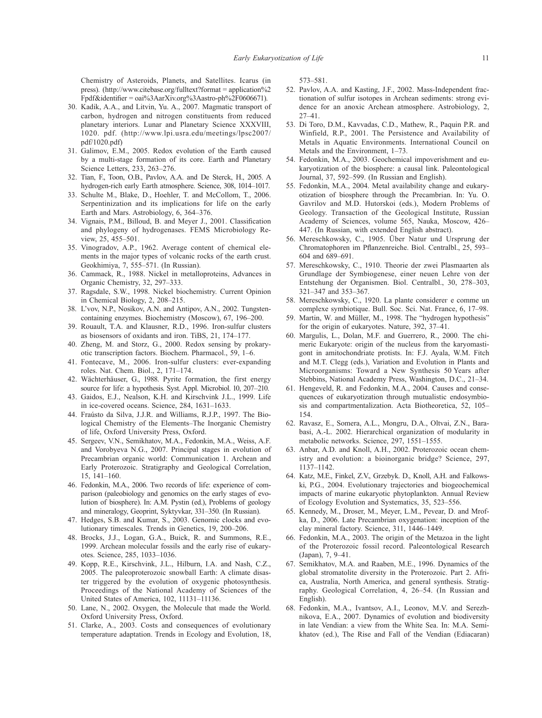Chemistry of Asteroids, Planets, and Satellites. Icarus (in press). (http://www.citebase.org/fulltext?format = application%2 Fpdf&identifier = oai%3AarXiv.org%3Aastro-ph%2F0606671).

- 30. Kadik, A.A., and Litvin, Yu. A., 2007. Magmatic transport of carbon, hydrogen and nitrogen constituents from reduced planetary interiors. Lunar and Planetary Science XXXVIII, 1020. pdf. (http://www.lpi.usra.edu/meetings/lpsc2007/ pdf/1020.pdf)
- 31. Galimov, E.M., 2005. Redox evolution of the Earth caused by a multi-stage formation of its core. Earth and Planetary Science Letters, 233, 263–276.
- 32. Tian, F., Toon, O.B., Pavlov, A.A. and De Sterck, H., 2005. A hydrogen-rich early Earth atmosphere. Science, 308, 1014–1017.
- 33. Schulte M., Blake, D., Hoehler, T. and McCollom, T., 2006. Serpentinization and its implications for life on the early Earth and Mars. Astrobiology, 6, 364–376.
- 34. Vignais, P.M., Billoud, B. and Meyer J., 2001. Classification and phylogeny of hydrogenases. FEMS Microbiology Review, 25, 455–501.
- 35. Vinogradov, A.P., 1962. Average content of chemical elements in the major types of volcanic rocks of the earth crust. Geokhimiya, 7, 555–571. (In Russian).
- 36. Cammack, R., 1988. Nickel in metalloproteins, Advances in Organic Chemistry, 32, 297–333.
- 37. Ragsdale, S.W., 1998. Nickel biochemistry. Current Opinion in Chemical Biology, 2, 208–215.
- 38. L'vov, N.P., Nosikov, A.N. and Antipov, A.N., 2002. Tungstencontaining enzymes. Biochemistry (Moscow), 67, 196–200.
- 39. Rouault, T.A. and Klausner, R.D., 1996. Iron-sulfur clusters as biosensors of oxidants and iron. TiBS, 21, 174–177.
- 40. Zheng, M. and Storz, G., 2000. Redox sensing by prokaryotic transcription factors. Biochem. Pharmacol., 59, 1–6.
- 41. Fontecave, M., 2006. Iron-sulfur clusters: ever-expanding roles. Nat. Chem. Biol., 2, 171–174.
- 42. Wächterhäuser, G., 1988. Pyrite formation, the first energy source for life: a hypothesis. Syst. Appl. Microbiol. 10, 207–210.
- 43. Gaidos, E.J., Nealson, K.H. and Kirschvink J.L., 1999. Life in ice-covered oceans. Science, 284, 1631–1633.
- 44. Fraústo da Silva, J.J.R. and Williams, R.J.P., 1997. The Biological Chemistry of the Elements–The Inorganic Chemistry of life, Oxford University Press, Oxford.
- 45. Sergeev, V.N., Semikhatov, M.A., Fedonkin, M.A., Weiss, A.F. and Vorobyeva N.G., 2007. Principal stages in evolution of Precambrian organic world: Communication 1. Archean and Early Proterozoic. Stratigraphy and Geological Correlation, 15, 141–160.
- 46. Fedonkin, M.A., 2006. Two records of life: experience of comparison (paleobiology and genomics on the early stages of evolution of biosphere). In: A.M. Pystin (ed.), Problems of geology and mineralogy, Geoprint, Syktyvkar, 331–350. (In Russian).
- 47. Hedges, S.B. and Kumar, S., 2003. Genomic clocks and evolutionary timescales. Trends in Genetics, 19, 200–206.
- 48. Brocks, J.J., Logan, G.A., Buick, R. and Summons, R.E., 1999. Archean molecular fossils and the early rise of eukaryotes. Science, 285, 1033–1036.
- 49. Kopp, R.E., Kirschvink, J.L., Hilburn, I.A. and Nash, C.Z., 2005. The paleoproterozoic snowball Earth: A climate disaster triggered by the evolution of oxygenic photosynthesis. Proceedings of the National Academy of Sciences of the United States of America, 102, 11131–11136.
- 50. Lane, N., 2002. Oxygen, the Molecule that made the World. Oxford University Press, Oxford.
- 51. Clarke, A., 2003. Costs and consequences of evolutionary temperature adaptation. Trends in Ecology and Evolution, 18,

573–581.

- 52. Pavlov, A.A. and Kasting, J.F., 2002. Mass-Independent fractionation of sulfur isotopes in Archean sediments: strong evidence for an anoxic Archean atmosphere. Astrobiology, 2, 27–41.
- 53. Di Toro, D.M., Kavvadas, C.D., Mathew, R., Paquin P.R. and Winfield, R.P., 2001. The Persistence and Availability of Metals in Aquatic Environments. International Council on Metals and the Environment, 1–73.
- 54. Fedonkin, M.A., 2003. Geochemical impoverishment and eukaryotization of the biosphere: a causal link. Paleontological Journal, 37, 592–599. (In Russian and English).
- 55. Fedonkin, M.A., 2004. Metal availability change and eukaryotization of biosphere through the Precambrian. In: Yu. O. Gavrilov and M.D. Hutorskoi (eds.), Modern Problems of Geology. Transaction of the Geological Institute, Russian Academy of Sciences, volume 565, Nauka, Moscow, 426– 447. (In Russian, with extended English abstract).
- 56. Mereschkowsky, C., 1905. Über Natur und Ursprung der Chromatophoren im Pflanzenreiche. Biol. Centralbl., 25, 593– 604 and 689–691.
- 57. Mereschkowsky, C., 1910. Theorie der zwei Plasmaarten als Grundlage der Symbiogenese, einer neuen Lehre von der Entstehung der Organismen. Biol. Centralbl., 30, 278–303, 321–347 and 353–367.
- 58. Mereschkowsky, C., 1920. La plante considereг e comme un complexe symbiotique. Bull. Soc. Sci. Nat. France, 6, 17–98.
- 59. Martin, W. and Müller, M., 1998. The "hydrogen hypothesis" for the origin of eukaryotes. Nature, 392, 37–41.
- 60. Margulis, L., Dolan, M.F. and Guerrero, R., 2000. The chimeric Eukaryote: origin of the nucleus from the karyomastigont in amitochondriate protists. In: F.J. Ayala, W.M. Fitch and M.T. Clegg (eds.), Variation and Evolution in Plants and Microorganisms: Toward a New Synthesis 50 Years after Stebbins, National Academy Press, Washington, D.C., 21–34.
- 61. Hengeveld, R. and Fedonkin, M.A., 2004. Causes and consequences of eukaryotization through mutualistic endosymbiosis and compartmentalization. Acta Biotheoretica, 52, 105– 154.
- 62. Ravasz, E., Somera, A.L., Mongru, D.A., Oltvai, Z.N., Barabasi, A.-L. 2002. Hierarchical organization of modularity in metabolic networks. Science, 297, 1551–1555.
- 63. Anbar, A.D. and Knoll, A.H., 2002. Proterozoic ocean chemistry and evolution: a bioinorganic bridge? Science, 297, 1137–1142.
- 64. Katz, M.E., Finkel, Z.V., Grzebyk. D., Knoll, A.H. and Falkowski, P.G., 2004. Evolutionary trajectories and biogeochemical impacts of marine eukaryotic phytoplankton. Annual Review of Ecology Evolution and Systematics, 35, 523–556.
- 65. Kennedy, M., Droser, M., Meyer, L.M., Pevear, D. and Mrofka, D., 2006. Late Precambrian oxygenation: inception of the clay mineral factory. Science, 311, 1446–1449.
- 66. Fedonkin, M.A., 2003. The origin of the Metazoa in the light of the Proterozoic fossil record. Paleontological Research (Japan), 7, 9–41.
- 67. Semikhatov, M.A. and Raaben, M.E., 1996. Dynamics of the global stromatolite diversity in the Proterozoic. Part 2. Africa, Australia, North America, and general synthesis. Stratigraphy. Geological Correlation, 4, 26–54. (In Russian and English).
- 68. Fedonkin, M.A., Ivantsov, A.I., Leonov, M.V. and Serezhnikova, E.A., 2007. Dynamics of evolution and biodiversity in late Vendian: a view from the White Sea. In: M.A. Semikhatov (ed.), The Rise and Fall of the Vendian (Ediacaran)